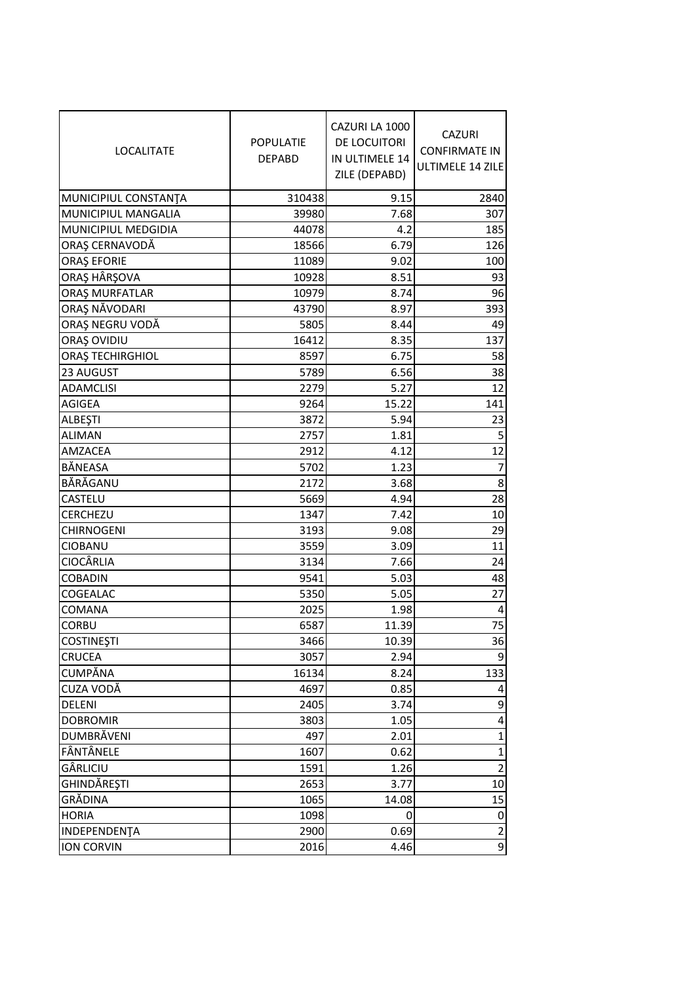| <b>LOCALITATE</b>       | <b>POPULATIE</b><br><b>DEPABD</b> | CAZURI LA 1000<br>DE LOCUITORI<br>IN ULTIMELE 14<br>ZILE (DEPABD) | <b>CAZURI</b><br><b>CONFIRMATE IN</b><br>ULTIMELE 14 ZILE |
|-------------------------|-----------------------------------|-------------------------------------------------------------------|-----------------------------------------------------------|
| MUNICIPIUL CONSTANTA    | 310438                            | 9.15                                                              | 2840                                                      |
| MUNICIPIUL MANGALIA     | 39980                             | 7.68                                                              | 307                                                       |
| MUNICIPIUL MEDGIDIA     | 44078                             | 4.2                                                               | 185                                                       |
| ORAȘ CERNAVODĂ          | 18566                             | 6.79                                                              | 126                                                       |
| <b>ORAȘ EFORIE</b>      | 11089                             | 9.02                                                              | 100                                                       |
| ORAŞ HÂRŞOVA            | 10928                             | 8.51                                                              | 93                                                        |
| <b>ORAȘ MURFATLAR</b>   | 10979                             | 8.74                                                              | 96                                                        |
| ORAȘ NĂVODARI           | 43790                             | 8.97                                                              | 393                                                       |
| ORAȘ NEGRU VODĂ         | 5805                              | 8.44                                                              | 49                                                        |
| ORAȘ OVIDIU             | 16412                             | 8.35                                                              | 137                                                       |
| <b>ORAȘ TECHIRGHIOL</b> | 8597                              | 6.75                                                              | 58                                                        |
| 23 AUGUST               | 5789                              | 6.56                                                              | 38                                                        |
| <b>ADAMCLISI</b>        | 2279                              | 5.27                                                              | 12                                                        |
| AGIGEA                  | 9264                              | 15.22                                                             | 141                                                       |
| ALBEŞTI                 | 3872                              | 5.94                                                              | 23                                                        |
| <b>ALIMAN</b>           | 2757                              | 1.81                                                              | 5 <sup>1</sup>                                            |
| AMZACEA                 | 2912                              | 4.12                                                              | 12                                                        |
| BĂNEASA                 | 5702                              | 1.23                                                              | $\overline{7}$                                            |
| BĂRĂGANU                | 2172                              | 3.68                                                              | 8 <sup>1</sup>                                            |
| CASTELU                 | 5669                              | 4.94                                                              | 28                                                        |
| CERCHEZU                | 1347                              | 7.42                                                              | 10                                                        |
| <b>CHIRNOGENI</b>       | 3193                              | 9.08                                                              | 29                                                        |
| CIOBANU                 | 3559                              | 3.09                                                              | 11                                                        |
| <b>CIOCÂRLIA</b>        | 3134                              | 7.66                                                              | 24                                                        |
| <b>COBADIN</b>          | 9541                              | 5.03                                                              | 48                                                        |
| COGEALAC                | 5350                              | 5.05                                                              | 27                                                        |
| COMANA                  | 2025                              | 1.98                                                              | $\vert 4 \vert$                                           |
| <b>CORBU</b>            | 6587                              | 11.39                                                             | 75                                                        |
| <b>COSTINEȘTI</b>       | 3466                              | 10.39                                                             | 36                                                        |
| <b>CRUCEA</b>           | 3057                              | 2.94                                                              | $\overline{9}$                                            |
| CUMPĂNA                 | 16134                             | 8.24                                                              | 133                                                       |
| CUZA VODĂ               | 4697                              | 0.85                                                              | $\vert 4 \vert$                                           |
| <b>DELENI</b>           | 2405                              | 3.74                                                              | $\overline{9}$                                            |
| <b>DOBROMIR</b>         | 3803                              | 1.05                                                              | $\vert 4 \vert$                                           |
| DUMBRĂVENI              | 497                               | 2.01                                                              | $\mathbf{1}$                                              |
| FÂNTÂNELE               | 1607                              | 0.62                                                              | 1                                                         |
| GÂRLICIU                | 1591                              | 1.26                                                              | $\overline{2}$                                            |
| GHINDĂREȘTI             | 2653                              | 3.77                                                              | 10 <sup>1</sup>                                           |
| GRĂDINA                 | 1065                              | 14.08                                                             | 15                                                        |
| <b>HORIA</b>            | 1098                              | 0                                                                 | $\Omega$                                                  |
| INDEPENDENȚA            | 2900                              | 0.69                                                              | $\overline{2}$                                            |
| <b>ION CORVIN</b>       | 2016                              | 4.46                                                              | $\overline{9}$                                            |